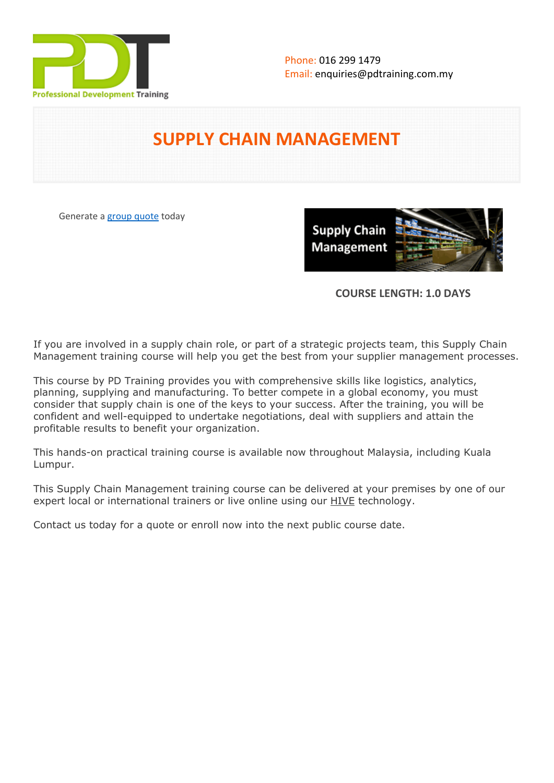

# **SUPPLY CHAIN MANAGEMENT**

Generate a [group quote](https://pdtraining.com.my/inhouse-training-quote?cse=PDTSC140) today

**Supply Chain** Management

# **COURSE LENGTH: 1.0 DAYS**

If you are involved in a supply chain role, or part of a strategic projects team, this Supply Chain Management training course will help you get the best from your supplier management processes.

This course by PD Training provides you with comprehensive skills like logistics, analytics, planning, supplying and manufacturing. To better compete in a global economy, you must consider that supply chain is one of the keys to your success. After the training, you will be confident and well-equipped to undertake negotiations, deal with suppliers and attain the profitable results to benefit your organization.

This hands-on practical training course is available now throughout Malaysia, including Kuala Lumpur.

This Supply Chain Management training course can be delivered at your premises by one of our expert local or international trainers or live online using our HIVE technology.

Contact us today for a quote or enroll now into the next public course date.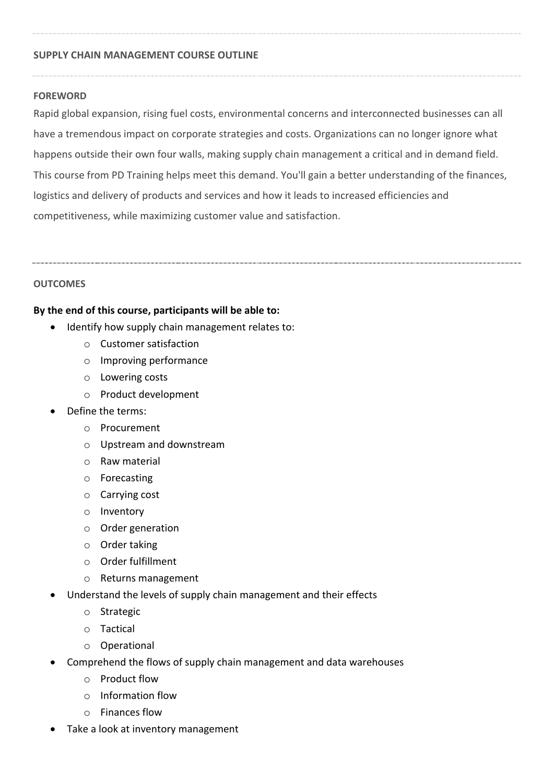# **SUPPLY CHAIN MANAGEMENT COURSE OUTLINE**

#### **FOREWORD**

Rapid global expansion, rising fuel costs, environmental concerns and interconnected businesses can all have a tremendous impact on corporate strategies and costs. Organizations can no longer ignore what happens outside their own four walls, making supply chain management a critical and in demand field. This course from PD Training helps meet this demand. You'll gain a better understanding of the finances, logistics and delivery of products and services and how it leads to increased efficiencies and competitiveness, while maximizing customer value and satisfaction.

# **OUTCOMES**

# **By the end of this course, participants will be able to:**

- Identify how supply chain management relates to:
	- o Customer satisfaction
	- o Improving performance
	- o Lowering costs
	- o Product development
- Define the terms:
	- o Procurement
	- o Upstream and downstream
	- o Raw material
	- o Forecasting
	- o Carrying cost
	- o Inventory
	- o Order generation
	- o Order taking
	- o Order fulfillment
	- o Returns management
- Understand the levels of supply chain management and their effects
	- o Strategic
	- o Tactical
	- o Operational
- Comprehend the flows of supply chain management and data warehouses
	- o Product flow
	- o Information flow
	- o Finances flow
- Take a look at inventory management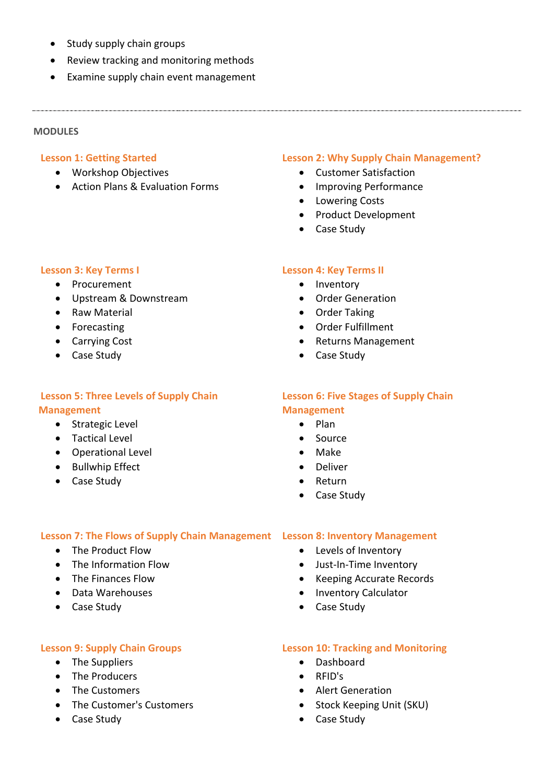- Study supply chain groups
- Review tracking and monitoring methods
- Examine supply chain event management

# **MODULES**

#### **Lesson 1: Getting Started**

- Workshop Objectives
- Action Plans & Evaluation Forms

# **Lesson 3: Key Terms I**

- Procurement
- Upstream & Downstream
- Raw Material
- Forecasting
- Carrying Cost
- Case Study

# **Lesson 5: Three Levels of Supply Chain Management**

- Strategic Level
- Tactical Level
- Operational Level
- Bullwhip Effect
- Case Study

# **Lesson 2: Why Supply Chain Management?**

- Customer Satisfaction
- Improving Performance
- Lowering Costs
- Product Development
- Case Study

# **Lesson 4: Key Terms II**

- Inventory
- Order Generation
- **•** Order Taking
- Order Fulfillment
- Returns Management
- Case Study

# **Lesson 6: Five Stages of Supply Chain Management**

- $\bullet$  Plan
- Source
- Make
- Deliver
- Return

# **Lesson 7: The Flows of Supply Chain Management Lesson 8: Inventory Management**

- The Product Flow
- The Information Flow
- The Finances Flow
- Data Warehouses
- Case Study

# **Lesson 9: Supply Chain Groups**

- The Suppliers
- The Producers
- The Customers
- The Customer's Customers
- Case Study

# **Lesson 10: Tracking and Monitoring**

Dashboard

• Case Study

- RFID's
- Alert Generation
- Stock Keeping Unit (SKU)
- Case Study

# • Case Study

 Levels of Inventory Just-In-Time Inventory • Keeping Accurate Records

• Inventory Calculator